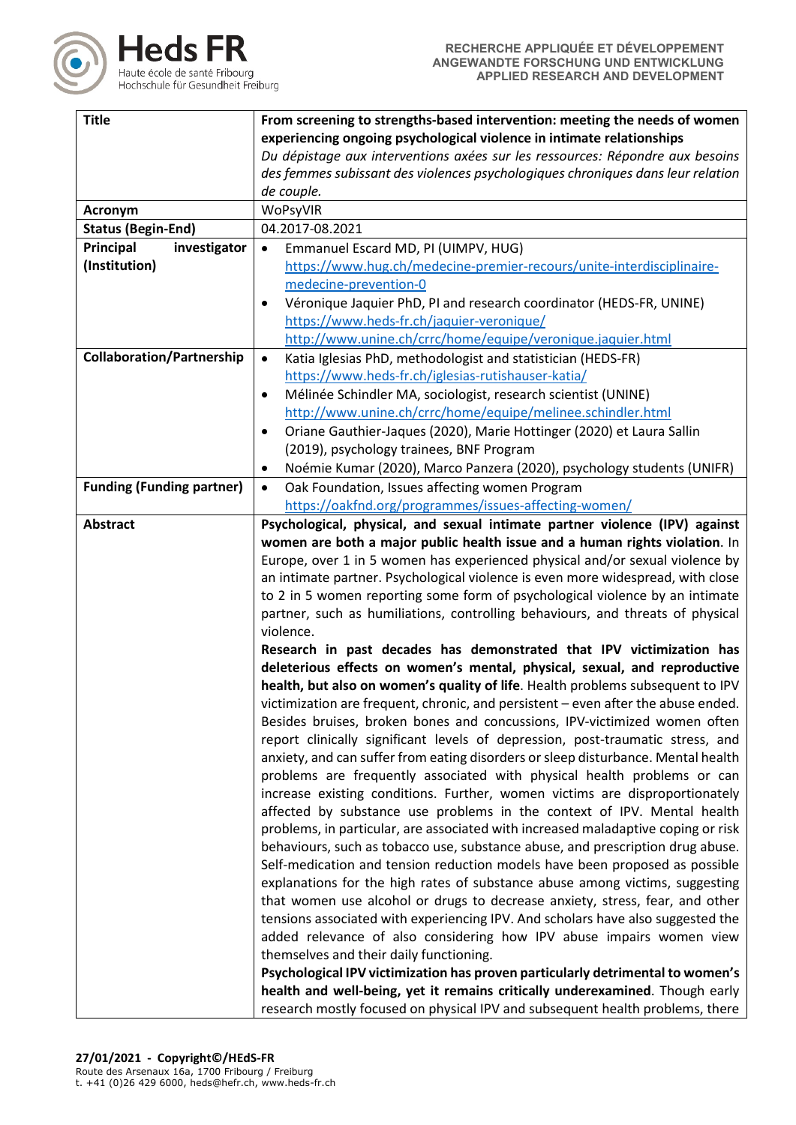

| <b>Title</b>                     | From screening to strengths-based intervention: meeting the needs of women        |  |  |
|----------------------------------|-----------------------------------------------------------------------------------|--|--|
|                                  | experiencing ongoing psychological violence in intimate relationships             |  |  |
|                                  | Du dépistage aux interventions axées sur les ressources: Répondre aux besoins     |  |  |
|                                  | des femmes subissant des violences psychologiques chroniques dans leur relation   |  |  |
|                                  | de couple.                                                                        |  |  |
| Acronym                          | WoPsyVIR                                                                          |  |  |
| <b>Status (Begin-End)</b>        | 04.2017-08.2021                                                                   |  |  |
| Principal<br>investigator        | Emmanuel Escard MD, PI (UIMPV, HUG)<br>$\bullet$                                  |  |  |
| (Institution)                    | https://www.hug.ch/medecine-premier-recours/unite-interdisciplinaire-             |  |  |
|                                  | medecine-prevention-0                                                             |  |  |
|                                  | Véronique Jaquier PhD, PI and research coordinator (HEDS-FR, UNINE)               |  |  |
|                                  | https://www.heds-fr.ch/jaquier-veronique/                                         |  |  |
|                                  | http://www.unine.ch/crrc/home/equipe/veronique.jaquier.html                       |  |  |
| <b>Collaboration/Partnership</b> | Katia Iglesias PhD, methodologist and statistician (HEDS-FR)<br>$\bullet$         |  |  |
|                                  | https://www.heds-fr.ch/iglesias-rutishauser-katia/                                |  |  |
|                                  | Mélinée Schindler MA, sociologist, research scientist (UNINE)<br>٠                |  |  |
|                                  | http://www.unine.ch/crrc/home/equipe/melinee.schindler.html                       |  |  |
|                                  | Oriane Gauthier-Jaques (2020), Marie Hottinger (2020) et Laura Sallin<br>٠        |  |  |
|                                  | (2019), psychology trainees, BNF Program                                          |  |  |
|                                  | Noémie Kumar (2020), Marco Panzera (2020), psychology students (UNIFR)<br>٠       |  |  |
| <b>Funding (Funding partner)</b> | Oak Foundation, Issues affecting women Program<br>$\bullet$                       |  |  |
|                                  | https://oakfnd.org/programmes/issues-affecting-women/                             |  |  |
| <b>Abstract</b>                  | Psychological, physical, and sexual intimate partner violence (IPV) against       |  |  |
|                                  | women are both a major public health issue and a human rights violation. In       |  |  |
|                                  | Europe, over 1 in 5 women has experienced physical and/or sexual violence by      |  |  |
|                                  | an intimate partner. Psychological violence is even more widespread, with close   |  |  |
|                                  | to 2 in 5 women reporting some form of psychological violence by an intimate      |  |  |
|                                  | partner, such as humiliations, controlling behaviours, and threats of physical    |  |  |
|                                  | violence.                                                                         |  |  |
|                                  | Research in past decades has demonstrated that IPV victimization has              |  |  |
|                                  | deleterious effects on women's mental, physical, sexual, and reproductive         |  |  |
|                                  | health, but also on women's quality of life. Health problems subsequent to IPV    |  |  |
|                                  | victimization are frequent, chronic, and persistent - even after the abuse ended. |  |  |
|                                  | Besides bruises, broken bones and concussions, IPV-victimized women often         |  |  |
|                                  | report clinically significant levels of depression, post-traumatic stress, and    |  |  |
|                                  | anxiety, and can suffer from eating disorders or sleep disturbance. Mental health |  |  |
|                                  | problems are frequently associated with physical health problems or can           |  |  |
|                                  | increase existing conditions. Further, women victims are disproportionately       |  |  |
|                                  | affected by substance use problems in the context of IPV. Mental health           |  |  |
|                                  | problems, in particular, are associated with increased maladaptive coping or risk |  |  |
|                                  | behaviours, such as tobacco use, substance abuse, and prescription drug abuse.    |  |  |
|                                  | Self-medication and tension reduction models have been proposed as possible       |  |  |
|                                  | explanations for the high rates of substance abuse among victims, suggesting      |  |  |
|                                  | that women use alcohol or drugs to decrease anxiety, stress, fear, and other      |  |  |
|                                  | tensions associated with experiencing IPV. And scholars have also suggested the   |  |  |
|                                  | added relevance of also considering how IPV abuse impairs women view              |  |  |
|                                  | themselves and their daily functioning.                                           |  |  |
|                                  | Psychological IPV victimization has proven particularly detrimental to women's    |  |  |
|                                  | health and well-being, yet it remains critically underexamined. Though early      |  |  |
|                                  | research mostly focused on physical IPV and subsequent health problems, there     |  |  |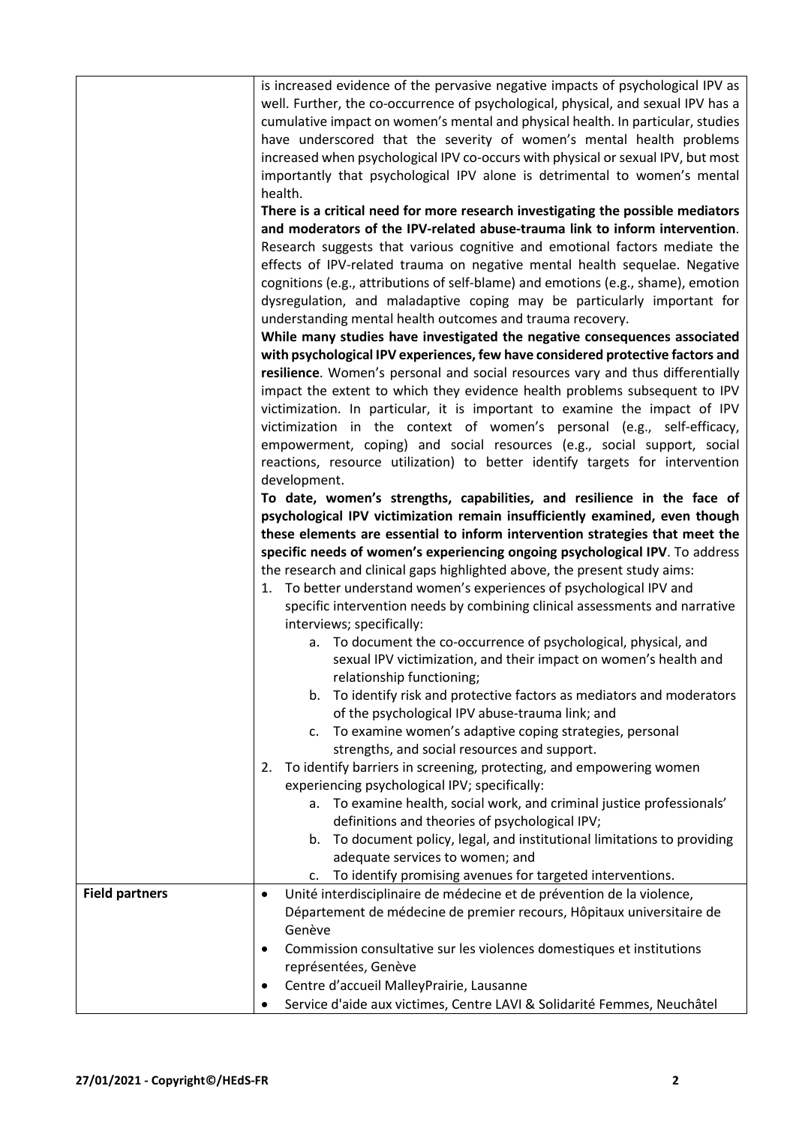|                       | is increased evidence of the pervasive negative impacts of psychological IPV as<br>well. Further, the co-occurrence of psychological, physical, and sexual IPV has a<br>cumulative impact on women's mental and physical health. In particular, studies<br>have underscored that the severity of women's mental health problems<br>increased when psychological IPV co-occurs with physical or sexual IPV, but most<br>importantly that psychological IPV alone is detrimental to women's mental<br>health. |
|-----------------------|-------------------------------------------------------------------------------------------------------------------------------------------------------------------------------------------------------------------------------------------------------------------------------------------------------------------------------------------------------------------------------------------------------------------------------------------------------------------------------------------------------------|
|                       | There is a critical need for more research investigating the possible mediators                                                                                                                                                                                                                                                                                                                                                                                                                             |
|                       | and moderators of the IPV-related abuse-trauma link to inform intervention.                                                                                                                                                                                                                                                                                                                                                                                                                                 |
|                       | Research suggests that various cognitive and emotional factors mediate the                                                                                                                                                                                                                                                                                                                                                                                                                                  |
|                       | effects of IPV-related trauma on negative mental health sequelae. Negative                                                                                                                                                                                                                                                                                                                                                                                                                                  |
|                       | cognitions (e.g., attributions of self-blame) and emotions (e.g., shame), emotion                                                                                                                                                                                                                                                                                                                                                                                                                           |
|                       | dysregulation, and maladaptive coping may be particularly important for                                                                                                                                                                                                                                                                                                                                                                                                                                     |
|                       | understanding mental health outcomes and trauma recovery.                                                                                                                                                                                                                                                                                                                                                                                                                                                   |
|                       | While many studies have investigated the negative consequences associated                                                                                                                                                                                                                                                                                                                                                                                                                                   |
|                       | with psychological IPV experiences, few have considered protective factors and                                                                                                                                                                                                                                                                                                                                                                                                                              |
|                       | resilience. Women's personal and social resources vary and thus differentially                                                                                                                                                                                                                                                                                                                                                                                                                              |
|                       | impact the extent to which they evidence health problems subsequent to IPV                                                                                                                                                                                                                                                                                                                                                                                                                                  |
|                       | victimization. In particular, it is important to examine the impact of IPV                                                                                                                                                                                                                                                                                                                                                                                                                                  |
|                       | victimization in the context of women's personal (e.g., self-efficacy,                                                                                                                                                                                                                                                                                                                                                                                                                                      |
|                       | empowerment, coping) and social resources (e.g., social support, social                                                                                                                                                                                                                                                                                                                                                                                                                                     |
|                       | reactions, resource utilization) to better identify targets for intervention<br>development.                                                                                                                                                                                                                                                                                                                                                                                                                |
|                       | To date, women's strengths, capabilities, and resilience in the face of                                                                                                                                                                                                                                                                                                                                                                                                                                     |
|                       | psychological IPV victimization remain insufficiently examined, even though                                                                                                                                                                                                                                                                                                                                                                                                                                 |
|                       | these elements are essential to inform intervention strategies that meet the                                                                                                                                                                                                                                                                                                                                                                                                                                |
|                       | specific needs of women's experiencing ongoing psychological IPV. To address                                                                                                                                                                                                                                                                                                                                                                                                                                |
|                       | the research and clinical gaps highlighted above, the present study aims:                                                                                                                                                                                                                                                                                                                                                                                                                                   |
|                       | 1. To better understand women's experiences of psychological IPV and                                                                                                                                                                                                                                                                                                                                                                                                                                        |
|                       | specific intervention needs by combining clinical assessments and narrative                                                                                                                                                                                                                                                                                                                                                                                                                                 |
|                       | interviews; specifically:                                                                                                                                                                                                                                                                                                                                                                                                                                                                                   |
|                       | a. To document the co-occurrence of psychological, physical, and                                                                                                                                                                                                                                                                                                                                                                                                                                            |
|                       | sexual IPV victimization, and their impact on women's health and                                                                                                                                                                                                                                                                                                                                                                                                                                            |
|                       | relationship functioning;                                                                                                                                                                                                                                                                                                                                                                                                                                                                                   |
|                       | To identify risk and protective factors as mediators and moderators<br>b.                                                                                                                                                                                                                                                                                                                                                                                                                                   |
|                       | of the psychological IPV abuse-trauma link; and                                                                                                                                                                                                                                                                                                                                                                                                                                                             |
|                       | To examine women's adaptive coping strategies, personal<br>c.                                                                                                                                                                                                                                                                                                                                                                                                                                               |
|                       | strengths, and social resources and support.<br>To identify barriers in screening, protecting, and empowering women<br>2.                                                                                                                                                                                                                                                                                                                                                                                   |
|                       | experiencing psychological IPV; specifically:                                                                                                                                                                                                                                                                                                                                                                                                                                                               |
|                       | a. To examine health, social work, and criminal justice professionals'                                                                                                                                                                                                                                                                                                                                                                                                                                      |
|                       | definitions and theories of psychological IPV;                                                                                                                                                                                                                                                                                                                                                                                                                                                              |
|                       | b. To document policy, legal, and institutional limitations to providing                                                                                                                                                                                                                                                                                                                                                                                                                                    |
|                       | adequate services to women; and                                                                                                                                                                                                                                                                                                                                                                                                                                                                             |
|                       | To identify promising avenues for targeted interventions.<br>c.                                                                                                                                                                                                                                                                                                                                                                                                                                             |
| <b>Field partners</b> | Unité interdisciplinaire de médecine et de prévention de la violence,<br>$\bullet$                                                                                                                                                                                                                                                                                                                                                                                                                          |
|                       | Département de médecine de premier recours, Hôpitaux universitaire de                                                                                                                                                                                                                                                                                                                                                                                                                                       |
|                       | Genève                                                                                                                                                                                                                                                                                                                                                                                                                                                                                                      |
|                       | Commission consultative sur les violences domestiques et institutions                                                                                                                                                                                                                                                                                                                                                                                                                                       |
|                       | représentées, Genève                                                                                                                                                                                                                                                                                                                                                                                                                                                                                        |
|                       | Centre d'accueil MalleyPrairie, Lausanne                                                                                                                                                                                                                                                                                                                                                                                                                                                                    |
|                       | Service d'aide aux victimes, Centre LAVI & Solidarité Femmes, Neuchâtel                                                                                                                                                                                                                                                                                                                                                                                                                                     |